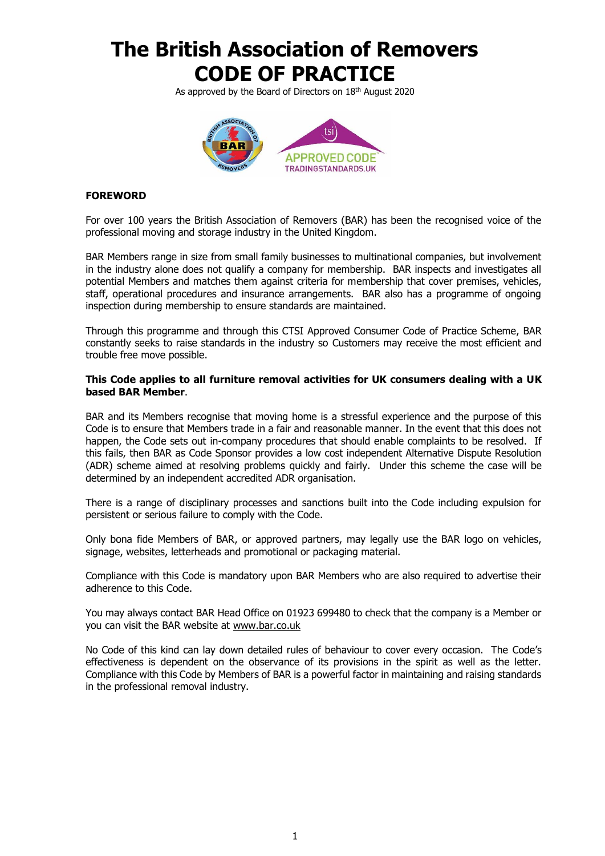As approved by the Board of Directors on 18<sup>th</sup> August 2020



### **FOREWORD**

For over 100 years the British Association of Removers (BAR) has been the recognised voice of the professional moving and storage industry in the United Kingdom.

BAR Members range in size from small family businesses to multinational companies, but involvement in the industry alone does not qualify a company for membership. BAR inspects and investigates all potential Members and matches them against criteria for membership that cover premises, vehicles, staff, operational procedures and insurance arrangements. BAR also has a programme of ongoing inspection during membership to ensure standards are maintained.

Through this programme and through this CTSI Approved Consumer Code of Practice Scheme, BAR constantly seeks to raise standards in the industry so Customers may receive the most efficient and trouble free move possible.

#### **This Code applies to all furniture removal activities for UK consumers dealing with a UK based BAR Member**.

BAR and its Members recognise that moving home is a stressful experience and the purpose of this Code is to ensure that Members trade in a fair and reasonable manner. In the event that this does not happen, the Code sets out in-company procedures that should enable complaints to be resolved. If this fails, then BAR as Code Sponsor provides a low cost independent Alternative Dispute Resolution (ADR) scheme aimed at resolving problems quickly and fairly. Under this scheme the case will be determined by an independent accredited ADR organisation.

There is a range of disciplinary processes and sanctions built into the Code including expulsion for persistent or serious failure to comply with the Code.

Only bona fide Members of BAR, or approved partners, may legally use the BAR logo on vehicles, signage, websites, letterheads and promotional or packaging material.

Compliance with this Code is mandatory upon BAR Members who are also required to advertise their adherence to this Code.

You may always contact BAR Head Office on 01923 699480 to check that the company is a Member or you can visit the BAR website at [www.bar.co.uk](http://www.bar.co.uk/)

No Code of this kind can lay down detailed rules of behaviour to cover every occasion. The Code's effectiveness is dependent on the observance of its provisions in the spirit as well as the letter. Compliance with this Code by Members of BAR is a powerful factor in maintaining and raising standards in the professional removal industry.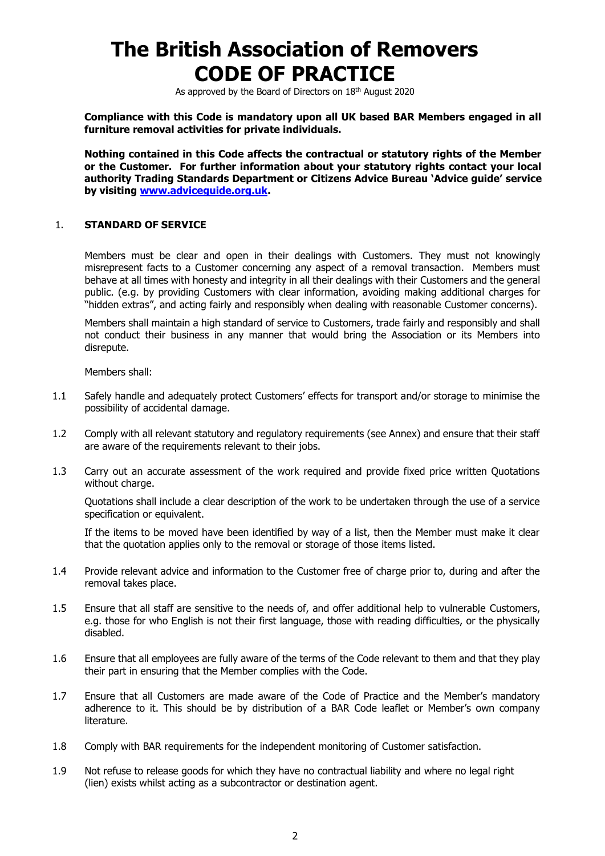As approved by the Board of Directors on 18th August 2020

**Compliance with this Code is mandatory upon all UK based BAR Members engaged in all furniture removal activities for private individuals.**

**Nothing contained in this Code affects the contractual or statutory rights of the Member or the Customer. For further information about your statutory rights contact your local authority Trading Standards Department or Citizens Advice Bureau 'Advice guide' service by visiting [www.adviceguide.org.uk.](http://www.adviceguide.org.uk/)**

#### 1. **STANDARD OF SERVICE**

Members must be clear and open in their dealings with Customers. They must not knowingly misrepresent facts to a Customer concerning any aspect of a removal transaction. Members must behave at all times with honesty and integrity in all their dealings with their Customers and the general public. (e.g. by providing Customers with clear information, avoiding making additional charges for "hidden extras", and acting fairly and responsibly when dealing with reasonable Customer concerns).

Members shall maintain a high standard of service to Customers, trade fairly and responsibly and shall not conduct their business in any manner that would bring the Association or its Members into disrepute.

Members shall:

- 1.1 Safely handle and adequately protect Customers' effects for transport and/or storage to minimise the possibility of accidental damage.
- 1.2 Comply with all relevant statutory and regulatory requirements (see Annex) and ensure that their staff are aware of the requirements relevant to their jobs.
- 1.3 Carry out an accurate assessment of the work required and provide fixed price written Quotations without charge.

Quotations shall include a clear description of the work to be undertaken through the use of a service specification or equivalent.

If the items to be moved have been identified by way of a list, then the Member must make it clear that the quotation applies only to the removal or storage of those items listed.

- 1.4 Provide relevant advice and information to the Customer free of charge prior to, during and after the removal takes place.
- 1.5 Ensure that all staff are sensitive to the needs of, and offer additional help to vulnerable Customers, e.g. those for who English is not their first language, those with reading difficulties, or the physically disabled.
- 1.6 Ensure that all employees are fully aware of the terms of the Code relevant to them and that they play their part in ensuring that the Member complies with the Code.
- 1.7 Ensure that all Customers are made aware of the Code of Practice and the Member's mandatory adherence to it. This should be by distribution of a BAR Code leaflet or Member's own company literature.
- 1.8 Comply with BAR requirements for the independent monitoring of Customer satisfaction.
- 1.9 Not refuse to release goods for which they have no contractual liability and where no legal right (lien) exists whilst acting as a subcontractor or destination agent.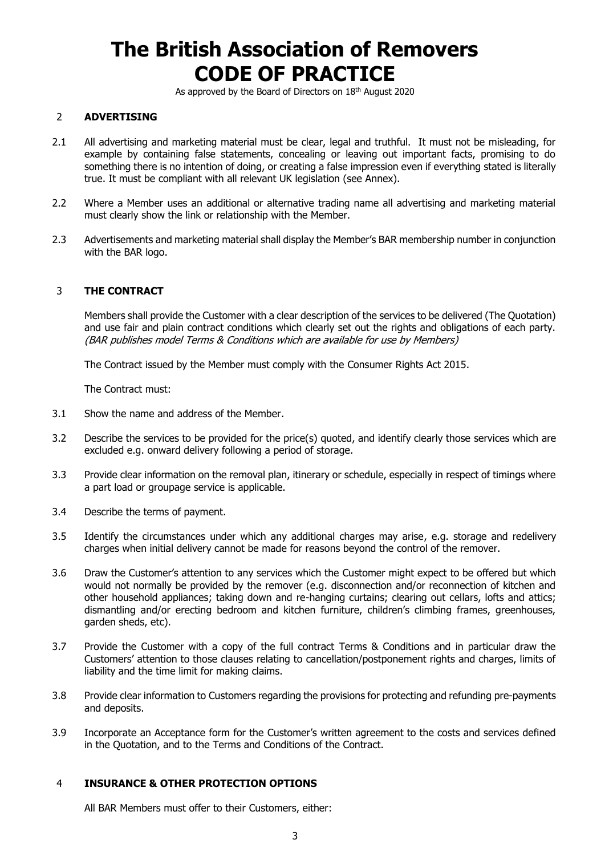As approved by the Board of Directors on 18<sup>th</sup> August 2020

### 2 **ADVERTISING**

- 2.1 All advertising and marketing material must be clear, legal and truthful. It must not be misleading, for example by containing false statements, concealing or leaving out important facts, promising to do something there is no intention of doing, or creating a false impression even if everything stated is literally true. It must be compliant with all relevant UK legislation (see Annex).
- 2.2 Where a Member uses an additional or alternative trading name all advertising and marketing material must clearly show the link or relationship with the Member.
- 2.3 Advertisements and marketing material shall display the Member's BAR membership number in conjunction with the BAR logo.

### 3 **THE CONTRACT**

Members shall provide the Customer with a clear description of the services to be delivered (The Quotation) and use fair and plain contract conditions which clearly set out the rights and obligations of each party. (BAR publishes model Terms & Conditions which are available for use by Members)

The Contract issued by the Member must comply with the Consumer Rights Act 2015.

The Contract must:

- 3.1 Show the name and address of the Member.
- 3.2 Describe the services to be provided for the price(s) quoted, and identify clearly those services which are excluded e.g. onward delivery following a period of storage.
- 3.3 Provide clear information on the removal plan, itinerary or schedule, especially in respect of timings where a part load or groupage service is applicable.
- 3.4 Describe the terms of payment.
- 3.5 Identify the circumstances under which any additional charges may arise, e.g. storage and redelivery charges when initial delivery cannot be made for reasons beyond the control of the remover.
- 3.6 Draw the Customer's attention to any services which the Customer might expect to be offered but which would not normally be provided by the remover (e.g. disconnection and/or reconnection of kitchen and other household appliances; taking down and re-hanging curtains; clearing out cellars, lofts and attics; dismantling and/or erecting bedroom and kitchen furniture, children's climbing frames, greenhouses, garden sheds, etc).
- 3.7 Provide the Customer with a copy of the full contract Terms & Conditions and in particular draw the Customers' attention to those clauses relating to cancellation/postponement rights and charges, limits of liability and the time limit for making claims.
- 3.8 Provide clear information to Customers regarding the provisions for protecting and refunding pre-payments and deposits.
- 3.9 Incorporate an Acceptance form for the Customer's written agreement to the costs and services defined in the Quotation, and to the Terms and Conditions of the Contract.

### 4 **INSURANCE & OTHER PROTECTION OPTIONS**

All BAR Members must offer to their Customers, either: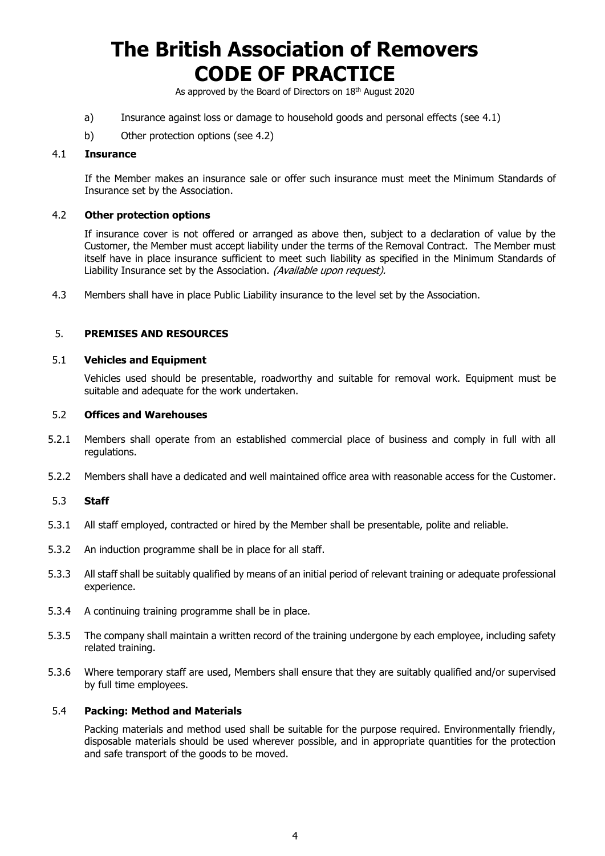As approved by the Board of Directors on 18<sup>th</sup> August 2020

- a) Insurance against loss or damage to household goods and personal effects (see 4.1)
- b) Other protection options (see 4.2)

### 4.1 **Insurance**

If the Member makes an insurance sale or offer such insurance must meet the Minimum Standards of Insurance set by the Association.

#### 4.2 **Other protection options**

If insurance cover is not offered or arranged as above then, subject to a declaration of value by the Customer, the Member must accept liability under the terms of the Removal Contract. The Member must itself have in place insurance sufficient to meet such liability as specified in the Minimum Standards of Liability Insurance set by the Association. (Available upon request).

4.3 Members shall have in place Public Liability insurance to the level set by the Association.

#### 5. **PREMISES AND RESOURCES**

#### 5.1 **Vehicles and Equipment**

Vehicles used should be presentable, roadworthy and suitable for removal work. Equipment must be suitable and adequate for the work undertaken.

#### 5.2 **Offices and Warehouses**

- 5.2.1 Members shall operate from an established commercial place of business and comply in full with all regulations.
- 5.2.2 Members shall have a dedicated and well maintained office area with reasonable access for the Customer.

#### 5.3 **Staff**

- 5.3.1 All staff employed, contracted or hired by the Member shall be presentable, polite and reliable.
- 5.3.2 An induction programme shall be in place for all staff.
- 5.3.3 All staff shall be suitably qualified by means of an initial period of relevant training or adequate professional experience.
- 5.3.4 A continuing training programme shall be in place.
- 5.3.5 The company shall maintain a written record of the training undergone by each employee, including safety related training.
- 5.3.6 Where temporary staff are used, Members shall ensure that they are suitably qualified and/or supervised by full time employees.

#### 5.4 **Packing: Method and Materials**

Packing materials and method used shall be suitable for the purpose required. Environmentally friendly, disposable materials should be used wherever possible, and in appropriate quantities for the protection and safe transport of the goods to be moved.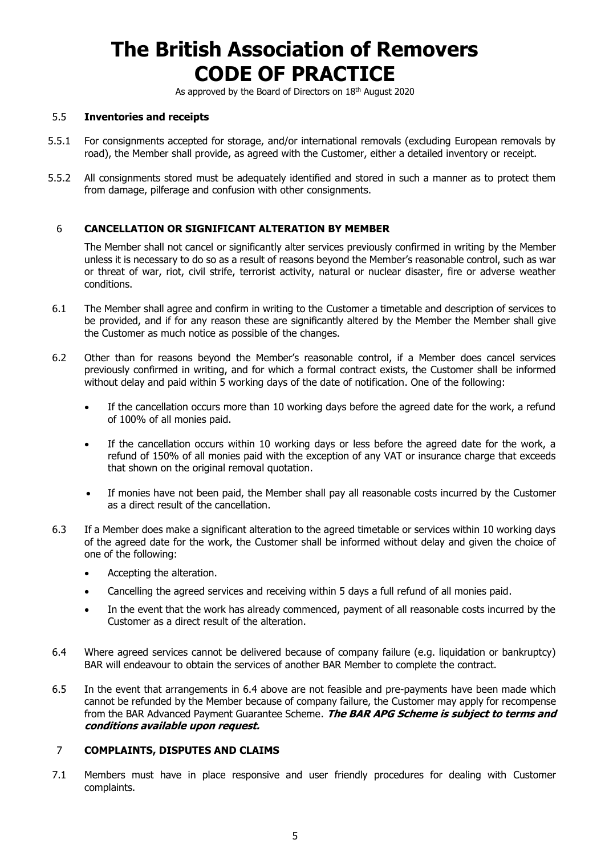As approved by the Board of Directors on 18<sup>th</sup> August 2020

### 5.5 **Inventories and receipts**

- 5.5.1 For consignments accepted for storage, and/or international removals (excluding European removals by road), the Member shall provide, as agreed with the Customer, either a detailed inventory or receipt.
- 5.5.2 All consignments stored must be adequately identified and stored in such a manner as to protect them from damage, pilferage and confusion with other consignments.

### 6 **CANCELLATION OR SIGNIFICANT ALTERATION BY MEMBER**

The Member shall not cancel or significantly alter services previously confirmed in writing by the Member unless it is necessary to do so as a result of reasons beyond the Member's reasonable control, such as war or threat of war, riot, civil strife, terrorist activity, natural or nuclear disaster, fire or adverse weather conditions.

- 6.1 The Member shall agree and confirm in writing to the Customer a timetable and description of services to be provided, and if for any reason these are significantly altered by the Member the Member shall give the Customer as much notice as possible of the changes.
- 6.2 Other than for reasons beyond the Member's reasonable control, if a Member does cancel services previously confirmed in writing, and for which a formal contract exists, the Customer shall be informed without delay and paid within 5 working days of the date of notification. One of the following:
	- If the cancellation occurs more than 10 working days before the agreed date for the work, a refund of 100% of all monies paid.
	- If the cancellation occurs within 10 working days or less before the agreed date for the work, a refund of 150% of all monies paid with the exception of any VAT or insurance charge that exceeds that shown on the original removal quotation.
	- If monies have not been paid, the Member shall pay all reasonable costs incurred by the Customer as a direct result of the cancellation.
- 6.3 If a Member does make a significant alteration to the agreed timetable or services within 10 working days of the agreed date for the work, the Customer shall be informed without delay and given the choice of one of the following:
	- Accepting the alteration.
	- Cancelling the agreed services and receiving within 5 days a full refund of all monies paid.
	- In the event that the work has already commenced, payment of all reasonable costs incurred by the Customer as a direct result of the alteration.
- 6.4 Where agreed services cannot be delivered because of company failure (e.g. liquidation or bankruptcy) BAR will endeavour to obtain the services of another BAR Member to complete the contract.
- 6.5 In the event that arrangements in 6.4 above are not feasible and pre-payments have been made which cannot be refunded by the Member because of company failure, the Customer may apply for recompense from the BAR Advanced Payment Guarantee Scheme. **The BAR APG Scheme is subject to terms and conditions available upon request.**

### 7 **COMPLAINTS, DISPUTES AND CLAIMS**

7.1 Members must have in place responsive and user friendly procedures for dealing with Customer complaints.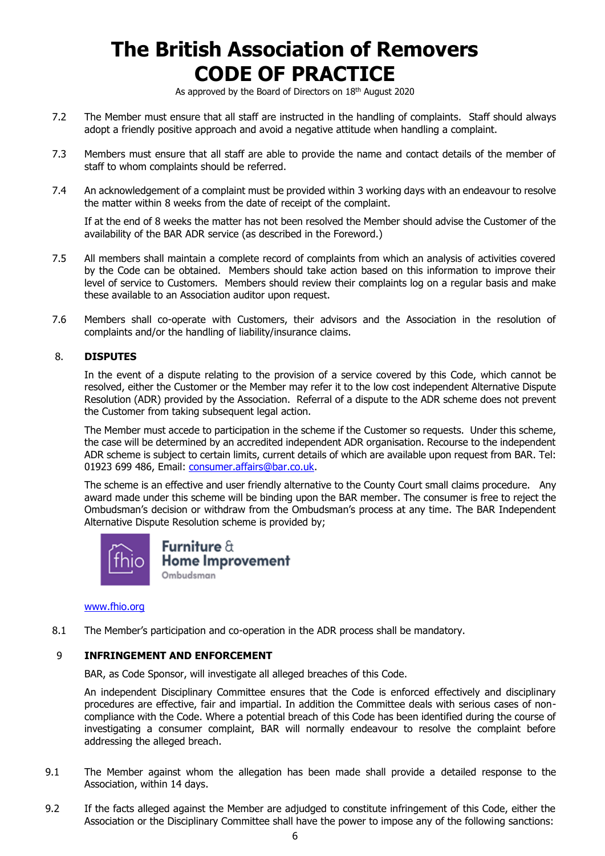As approved by the Board of Directors on 18<sup>th</sup> August 2020

- 7.2 The Member must ensure that all staff are instructed in the handling of complaints. Staff should always adopt a friendly positive approach and avoid a negative attitude when handling a complaint.
- 7.3 Members must ensure that all staff are able to provide the name and contact details of the member of staff to whom complaints should be referred.
- 7.4 An acknowledgement of a complaint must be provided within 3 working days with an endeavour to resolve the matter within 8 weeks from the date of receipt of the complaint.

If at the end of 8 weeks the matter has not been resolved the Member should advise the Customer of the availability of the BAR ADR service (as described in the Foreword.)

- 7.5 All members shall maintain a complete record of complaints from which an analysis of activities covered by the Code can be obtained. Members should take action based on this information to improve their level of service to Customers. Members should review their complaints log on a regular basis and make these available to an Association auditor upon request.
- 7.6 Members shall co-operate with Customers, their advisors and the Association in the resolution of complaints and/or the handling of liability/insurance claims.

### 8. **DISPUTES**

In the event of a dispute relating to the provision of a service covered by this Code, which cannot be resolved, either the Customer or the Member may refer it to the low cost independent Alternative Dispute Resolution (ADR) provided by the Association. Referral of a dispute to the ADR scheme does not prevent the Customer from taking subsequent legal action.

The Member must accede to participation in the scheme if the Customer so requests. Under this scheme, the case will be determined by an accredited independent ADR organisation. Recourse to the independent ADR scheme is subject to certain limits, current details of which are available upon request from BAR. Tel: 01923 699 486, Email: [consumer.affairs@bar.co.uk.](mailto:consumer.affairs@bar.co.uk)

The scheme is an effective and user friendly alternative to the County Court small claims procedure. Any award made under this scheme will be binding upon the BAR member. The consumer is free to reject the Ombudsman's decision or withdraw from the Ombudsman's process at any time. The BAR Independent Alternative Dispute Resolution scheme is provided by;



Furniture  $\hat{\alpha}$ **Home Improvement** Ombudsman

#### [www.fhio.org](http://www.fhio.org/)

8.1 The Member's participation and co-operation in the ADR process shall be mandatory.

### 9 **INFRINGEMENT AND ENFORCEMENT**

BAR, as Code Sponsor, will investigate all alleged breaches of this Code.

An independent Disciplinary Committee ensures that the Code is enforced effectively and disciplinary procedures are effective, fair and impartial. In addition the Committee deals with serious cases of noncompliance with the Code. Where a potential breach of this Code has been identified during the course of investigating a consumer complaint, BAR will normally endeavour to resolve the complaint before addressing the alleged breach.

- 9.1 The Member against whom the allegation has been made shall provide a detailed response to the Association, within 14 days.
- 9.2 If the facts alleged against the Member are adjudged to constitute infringement of this Code, either the Association or the Disciplinary Committee shall have the power to impose any of the following sanctions: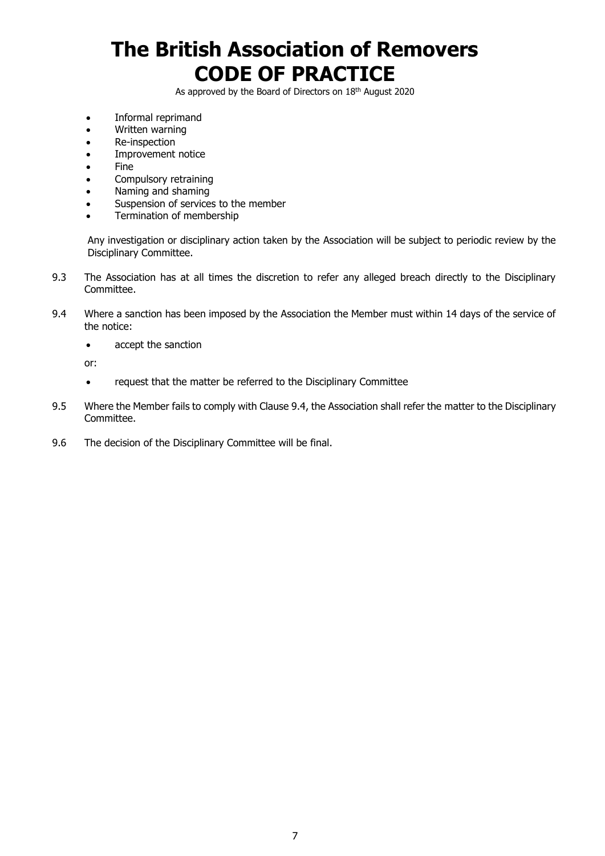As approved by the Board of Directors on 18<sup>th</sup> August 2020

- Informal reprimand
- Written warning
- Re-inspection
- Improvement notice
- Fine
- Compulsory retraining
- Naming and shaming
- Suspension of services to the member
- Termination of membership

Any investigation or disciplinary action taken by the Association will be subject to periodic review by the Disciplinary Committee.

- 9.3 The Association has at all times the discretion to refer any alleged breach directly to the Disciplinary Committee.
- 9.4 Where a sanction has been imposed by the Association the Member must within 14 days of the service of the notice:
	- accept the sanction

or:

- request that the matter be referred to the Disciplinary Committee
- 9.5 Where the Member fails to comply with Clause 9.4, the Association shall refer the matter to the Disciplinary Committee.
- 9.6 The decision of the Disciplinary Committee will be final.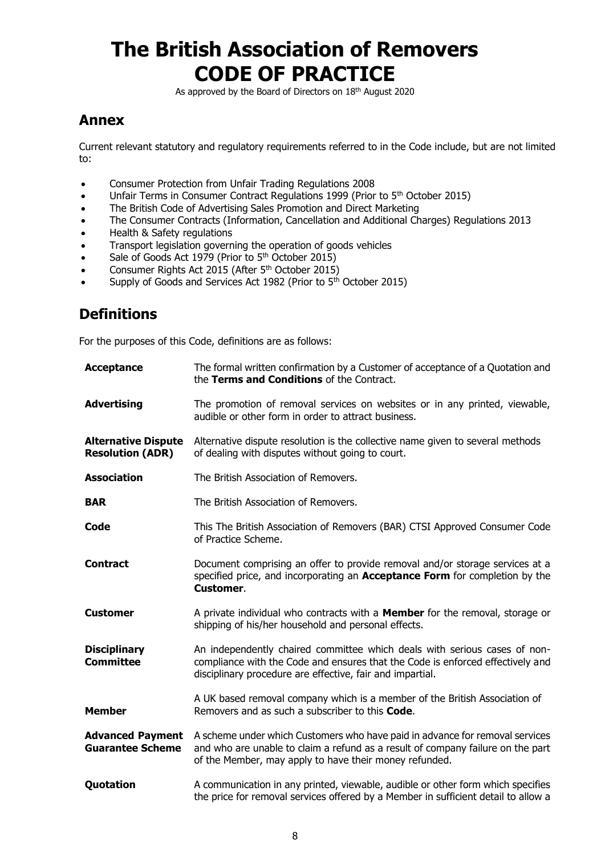As approved by the Board of Directors on 18<sup>th</sup> August 2020

## **Annex**

Current relevant statutory and regulatory requirements referred to in the Code include, but are not limited to:

- Consumer Protection from Unfair Trading Regulations 2008
- Unfair Terms in Consumer Contract Regulations 1999 (Prior to 5<sup>th</sup> October 2015)
- The British Code of Advertising Sales Promotion and Direct Marketing
- The Consumer Contracts (Information, Cancellation and Additional Charges) Regulations 2013
- Health & Safety regulations
- Transport legislation governing the operation of goods vehicles
- Sale of Goods Act 1979 (Prior to 5<sup>th</sup> October 2015)
- Consumer Rights Act 2015 (After 5<sup>th</sup> October 2015)
- Supply of Goods and Services Act 1982 (Prior to 5<sup>th</sup> October 2015)

## **Definitions**

For the purposes of this Code, definitions are as follows:

| <b>Acceptance</b>                                     | The formal written confirmation by a Customer of acceptance of a Quotation and<br>the Terms and Conditions of the Contract.                                                                                               |
|-------------------------------------------------------|---------------------------------------------------------------------------------------------------------------------------------------------------------------------------------------------------------------------------|
| <b>Advertising</b>                                    | The promotion of removal services on websites or in any printed, viewable,<br>audible or other form in order to attract business.                                                                                         |
| <b>Alternative Dispute</b><br><b>Resolution (ADR)</b> | Alternative dispute resolution is the collective name given to several methods<br>of dealing with disputes without going to court.                                                                                        |
| <b>Association</b>                                    | The British Association of Removers.                                                                                                                                                                                      |
| <b>BAR</b>                                            | The British Association of Removers.                                                                                                                                                                                      |
| Code                                                  | This The British Association of Removers (BAR) CTSI Approved Consumer Code<br>of Practice Scheme.                                                                                                                         |
| <b>Contract</b>                                       | Document comprising an offer to provide removal and/or storage services at a<br>specified price, and incorporating an <b>Acceptance Form</b> for completion by the<br>Customer.                                           |
| <b>Customer</b>                                       | A private individual who contracts with a <b>Member</b> for the removal, storage or<br>shipping of his/her household and personal effects.                                                                                |
| <b>Disciplinary</b><br><b>Committee</b>               | An independently chaired committee which deals with serious cases of non-<br>compliance with the Code and ensures that the Code is enforced effectively and<br>disciplinary procedure are effective, fair and impartial.  |
| <b>Member</b>                                         | A UK based removal company which is a member of the British Association of<br>Removers and as such a subscriber to this <b>Code.</b>                                                                                      |
| <b>Advanced Payment</b><br><b>Guarantee Scheme</b>    | A scheme under which Customers who have paid in advance for removal services<br>and who are unable to claim a refund as a result of company failure on the part<br>of the Member, may apply to have their money refunded. |
| Quotation                                             | A communication in any printed, viewable, audible or other form which specifies<br>the price for removal services offered by a Member in sufficient detail to allow a                                                     |